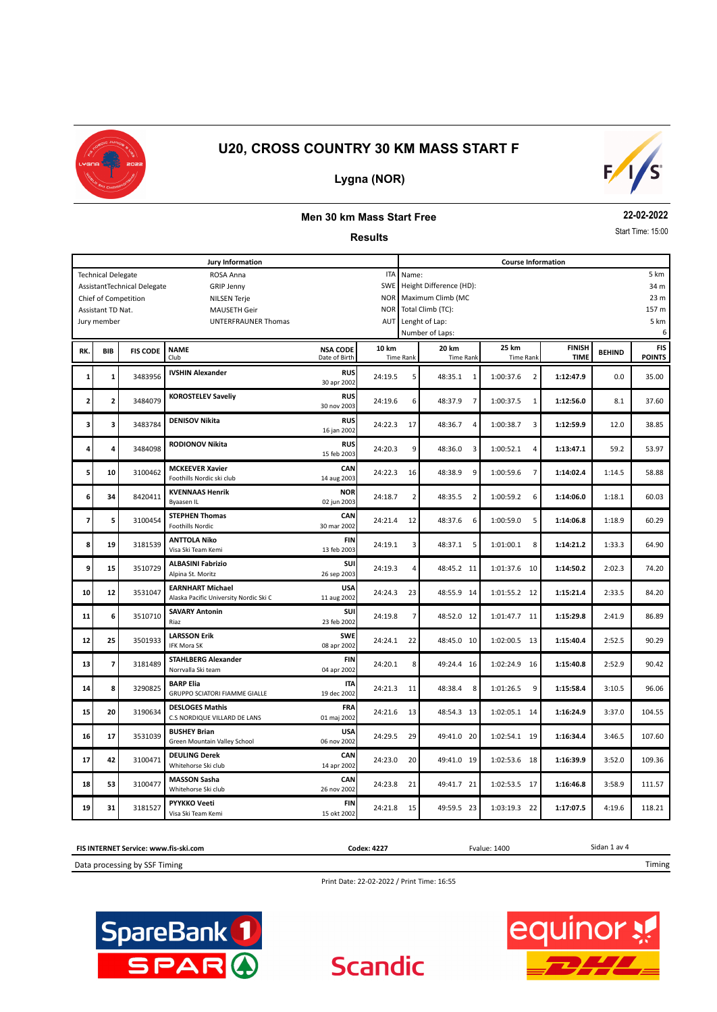

# $F/I/S$

# **Lygna (NOR)**

#### **Men 30 km Mass Start Free**

#### **Results**

**22-02-2022**

Start Time: 15:00

| Jury Information                                          |                           |                             |                                                                   |                                  |            |                  | <b>Course Information</b> |                             |                              |               |                             |  |  |
|-----------------------------------------------------------|---------------------------|-----------------------------|-------------------------------------------------------------------|----------------------------------|------------|------------------|---------------------------|-----------------------------|------------------------------|---------------|-----------------------------|--|--|
|                                                           | <b>Technical Delegate</b> |                             | ROSA Anna                                                         |                                  | <b>ITA</b> | 5 km<br>Name:    |                           |                             |                              |               |                             |  |  |
|                                                           |                           | AssistantTechnical Delegate | <b>GRIP Jenny</b>                                                 |                                  | SWE        |                  | Height Difference (HD):   |                             |                              |               | 34 m                        |  |  |
| <b>NOR</b><br>Chief of Competition<br><b>NILSEN Terje</b> |                           |                             |                                                                   |                                  |            |                  | Maximum Climb (MC<br>23 m |                             |                              |               |                             |  |  |
|                                                           | Assistant TD Nat.         |                             | <b>MAUSETH Geir</b>                                               |                                  | <b>NOR</b> |                  | Total Climb (TC):         |                             |                              |               | 157 m                       |  |  |
|                                                           | Jury member               |                             | <b>UNTERFRAUNER Thomas</b>                                        |                                  | AUT        |                  | Lenght of Lap:            |                             |                              |               | 5 km                        |  |  |
|                                                           |                           |                             |                                                                   |                                  |            |                  | Number of Laps:           |                             |                              |               | 6                           |  |  |
| RK.                                                       | <b>BIB</b>                | <b>FIS CODE</b>             | <b>NAME</b><br>Club                                               | <b>NSA CODE</b><br>Date of Birth | 10 km      | <b>Time Rank</b> | 20 km<br><b>Time Rank</b> | 25 km<br><b>Time Rank</b>   | <b>FINISH</b><br><b>TIME</b> | <b>BEHIND</b> | <b>FIS</b><br><b>POINTS</b> |  |  |
| 1                                                         | $\mathbf 1$               | 3483956                     | <b>IVSHIN Alexander</b>                                           | <b>RUS</b><br>30 apr 2002        | 24:19.5    | 5                | 48:35.1<br>1              | 1:00:37.6<br>$\overline{2}$ | 1:12:47.9                    | 0.0           | 35.00                       |  |  |
| 2                                                         | $\overline{\mathbf{c}}$   | 3484079                     | <b>KOROSTELEV Saveliy</b>                                         | <b>RUS</b><br>30 nov 2003        | 24:19.6    | 6                | 48:37.9<br>7              | 1:00:37.5<br>1              | 1:12:56.0                    | 8.1           | 37.60                       |  |  |
| з                                                         | 3                         | 3483784                     | <b>DENISOV Nikita</b>                                             | <b>RUS</b><br>16 jan 2002        | 24:22.3    | 17               | 48:36.7<br>4              | 1:00:38.7<br>3              | 1:12:59.9                    | 12.0          | 38.85                       |  |  |
| 4                                                         | 4                         | 3484098                     | RODIONOV Nikita                                                   | <b>RUS</b><br>15 feb 2003        | 24:20.3    | 9                | 48:36.0<br>3              | 1:00:52.1<br>4              | 1:13:47.1                    | 59.2          | 53.97                       |  |  |
| 5                                                         | 10                        | 3100462                     | <b>MCKEEVER Xavier</b><br>Foothills Nordic ski club               | CAN<br>14 aug 2003               | 24:22.3    | 16               | 9<br>48:38.9              | 1:00:59.6<br>$\overline{7}$ | 1:14:02.4                    | 1:14.5        | 58.88                       |  |  |
| 6                                                         | 34                        | 8420411                     | <b>KVENNAAS Henrik</b><br>Byaasen IL                              | <b>NOR</b><br>02 jun 2003        | 24:18.7    | $\overline{2}$   | 48:35.5<br>$\overline{2}$ | 1:00:59.2<br>6              | 1:14:06.0                    | 1:18.1        | 60.03                       |  |  |
| 7                                                         | 5                         | 3100454                     | <b>STEPHEN Thomas</b><br><b>Foothills Nordic</b>                  | CAN<br>30 mar 2002               | 24:21.4    | 12               | 48:37.6<br>6              | 1:00:59.0<br>5              | 1:14:06.8                    | 1:18.9        | 60.29                       |  |  |
| 8                                                         | 19                        | 3181539                     | <b>ANTTOLA Niko</b><br>Visa Ski Team Kemi                         | <b>FIN</b><br>13 feb 2003        | 24:19.1    | 3                | 48:37.1<br>5              | 1:01:00.1<br>8              | 1:14:21.2                    | 1:33.3        | 64.90                       |  |  |
| 9                                                         | 15                        | 3510729                     | <b>ALBASINI Fabrizio</b><br>Alpina St. Moritz                     | SUI<br>26 sep 2003               | 24:19.3    | 4                | 48:45.2 11                | 1:01:37.6<br>10             | 1:14:50.2                    | 2:02.3        | 74.20                       |  |  |
| 10                                                        | 12                        | 3531047                     | <b>EARNHART Michael</b><br>Alaska Pacific University Nordic Ski C | <b>USA</b><br>11 aug 2002        | 24:24.3    | 23               | 48:55.9 14                | 1:01:55.2<br>12             | 1:15:21.4                    | 2:33.5        | 84.20                       |  |  |
| 11                                                        | 6                         | 3510710                     | <b>SAVARY Antonin</b><br>Riaz                                     | SUI<br>23 feb 2002               | 24:19.8    | $\overline{7}$   | 48:52.0 12                | 1:01:47.7<br>11             | 1:15:29.8                    | 2:41.9        | 86.89                       |  |  |
| 12                                                        | 25                        | 3501933                     | <b>LARSSON Erik</b><br>IFK Mora SK                                | <b>SWE</b><br>08 apr 2002        | 24:24.1    | 22               | 48:45.0 10                | 1:02:00.5<br>- 13           | 1:15:40.4                    | 2:52.5        | 90.29                       |  |  |
| 13                                                        | 7                         | 3181489                     | <b>STAHLBERG Alexander</b><br>Norrvalla Ski team                  | <b>FIN</b><br>04 apr 2002        | 24:20.1    | 8                | 49:24.4 16                | 1:02:24.9<br>- 16           | 1:15:40.8                    | 2:52.9        | 90.42                       |  |  |
| 14                                                        | 8                         | 3290825                     | <b>BARP Elia</b><br>GRUPPO SCIATORI FIAMME GIALLE                 | <b>ITA</b><br>19 dec 2002        | 24:21.3    | 11               | 48:38.4<br>8              | 1:01:26.5<br>9              | 1:15:58.4                    | 3:10.5        | 96.06                       |  |  |
| 15                                                        | 20                        | 3190634                     | <b>DESLOGES Mathis</b><br>C.S NORDIQUE VILLARD DE LANS            | <b>FRA</b><br>01 maj 2002        | 24:21.6    | 13               | 48:54.3 13                | 1:02:05.1 14                | 1:16:24.9                    | 3:37.0        | 104.55                      |  |  |
| 16                                                        | 17                        | 3531039                     | <b>BUSHEY Brian</b><br>Green Mountain Valley School               | <b>USA</b><br>06 nov 2002        | 24:29.5    | 29               | 49:41.0 20                | 1:02:54.1 19                | 1:16:34.4                    | 3:46.5        | 107.60                      |  |  |
| 17                                                        | 42                        | 3100471                     | <b>DEULING Derek</b><br>Whitehorse Ski club                       | CAN<br>14 apr 2002               | 24:23.0    | 20               | 49:41.0 19                | 1:02:53.6<br>- 18           | 1:16:39.9                    | 3:52.0        | 109.36                      |  |  |
| 18                                                        | 53                        | 3100477                     | <b>MASSON Sasha</b><br>Whitehorse Ski club                        | CAN<br>26 nov 2002               | 24:23.8    | 21               | 49:41.7 21                | 1:02:53.5<br>17             | 1:16:46.8                    | 3:58.9        | 111.57                      |  |  |
| 19                                                        | 31                        | 3181527                     | PYYKKO Veeti<br>Visa Ski Team Kemi                                | <b>FIN</b><br>15 okt 2002        | 24:21.8    | 15               | 49:59.5 23                | 1:03:19.3<br>22             | 1:17:07.5                    | 4:19.6        | 118.21                      |  |  |



Print Date: 22-02-2022 / Print Time: 16:55

**Scandic** 



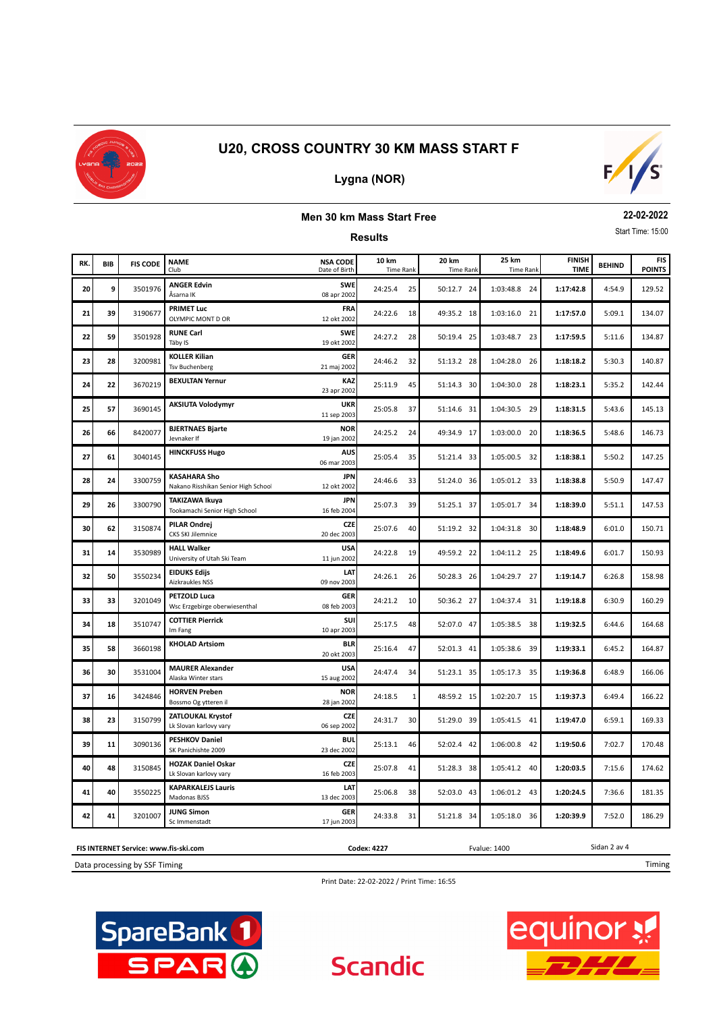

# **Lygna (NOR)**



#### **Men 30 km Mass Start Free**

**Results**

**22-02-2022** Start Time: 15:00

| RK. | BIB | <b>FIS CODE</b> | <b>NAME</b><br>Club                                       | <b>NSA CODE</b><br>Date of Birth | 10 km<br><b>Time Rank</b> | 20 km<br><b>Time Rank</b> | 25 km<br><b>Time Rank</b> | <b>FINISH</b><br><b>TIME</b> | <b>BEHIND</b> | <b>FIS</b><br><b>POINTS</b> |
|-----|-----|-----------------|-----------------------------------------------------------|----------------------------------|---------------------------|---------------------------|---------------------------|------------------------------|---------------|-----------------------------|
| 20  | 9   | 3501976         | <b>ANGER Edvin</b><br>Åsarna IK                           | <b>SWE</b><br>08 apr 2002        | 24:25.4<br>25             | 50:12.7 24                | 1:03:48.8 24              | 1:17:42.8                    | 4:54.9        | 129.52                      |
| 21  | 39  | 3190677         | <b>PRIMET Luc</b><br>OLYMPIC MONT D OR                    | FRA<br>12 okt 2002               | 24:22.6<br>18             | 49:35.2 18                | 1:03:16.0 21              | 1:17:57.0                    | 5:09.1        | 134.07                      |
| 22  | 59  | 3501928         | <b>RUNE Carl</b><br>Täby IS                               | <b>SWE</b><br>19 okt 2002        | 24:27.2<br>28             | 50:19.4 25                | 1:03:48.7 23              | 1:17:59.5                    | 5:11.6        | 134.87                      |
| 23  | 28  | 3200981         | <b>KOLLER Kilian</b><br><b>Tsv Buchenberg</b>             | <b>GER</b><br>21 maj 2002        | 24:46.2<br>32             | 51:13.2 28                | 1:04:28.0<br>- 26         | 1:18:18.2                    | 5:30.3        | 140.87                      |
| 24  | 22  | 3670219         | <b>BEXULTAN Yernur</b>                                    | KAZ<br>23 apr 2002               | 25:11.9<br>45             | 51:14.3 30                | 1:04:30.0<br>28           | 1:18:23.1                    | 5:35.2        | 142.44                      |
| 25  | 57  | 3690145         | <b>AKSIUTA Volodymyr</b>                                  | <b>UKR</b><br>11 sep 2003        | 25:05.8<br>37             | 51:14.6 31                | 1:04:30.5<br>- 29         | 1:18:31.5                    | 5:43.6        | 145.13                      |
| 26  | 66  | 8420077         | <b>BJERTNAES Bjarte</b><br>Jevnaker If                    | <b>NOR</b><br>19 jan 2002        | 24:25.2<br>24             | 49:34.9 17                | 1:03:00.0<br>20           | 1:18:36.5                    | 5:48.6        | 146.73                      |
| 27  | 61  | 3040145         | <b>HINCKFUSS Hugo</b>                                     | <b>AUS</b><br>06 mar 2003        | 25:05.4<br>35             | 51:21.4 33                | 1:05:00.5 32              | 1:18:38.1                    | 5:50.2        | 147.25                      |
| 28  | 24  | 3300759         | <b>KASAHARA Sho</b><br>Nakano Risshikan Senior High Schoo | <b>JPN</b><br>12 okt 2002        | 24:46.6<br>33             | 51:24.0 36                | 1:05:01.2 33              | 1:18:38.8                    | 5:50.9        | 147.47                      |
| 29  | 26  | 3300790         | <b>TAKIZAWA Ikuya</b><br>Tookamachi Senior High School    | <b>JPN</b><br>16 feb 2004        | 25:07.3<br>39             | 51:25.1 37                | 1:05:01.7 34              | 1:18:39.0                    | 5:51.1        | 147.53                      |
| 30  | 62  | 3150874         | <b>PILAR Ondrej</b><br><b>CKS SKI Jilemnice</b>           | CZE<br>20 dec 2003               | 25:07.6<br>40             | 51:19.2 32                | 1:04:31.8 30              | 1:18:48.9                    | 6:01.0        | 150.71                      |
| 31  | 14  | 3530989         | <b>HALL Walker</b><br>University of Utah Ski Team         | <b>USA</b><br>11 jun 2002        | 24:22.8<br>19             | 49:59.2 22                | 1:04:11.2 25              | 1:18:49.6                    | 6:01.7        | 150.93                      |
| 32  | 50  | 3550234         | <b>EIDUKS Ediis</b><br>Aizkraukles NSS                    | LAT<br>09 nov 2003               | 24:26.1<br>26             | 50:28.3 26                | 1:04:29.7 27              | 1:19:14.7                    | 6:26.8        | 158.98                      |
| 33  | 33  | 3201049         | <b>PETZOLD Luca</b><br>Wsc Erzgebirge oberwiesenthal      | <b>GER</b><br>08 feb 2003        | 24:21.2<br>10             | 50:36.2 27                | 1:04:37.4 31              | 1:19:18.8                    | 6:30.9        | 160.29                      |
| 34  | 18  | 3510747         | <b>COTTIER Pierrick</b><br>Im Fang                        | SUI<br>10 apr 2003               | 25:17.5<br>48             | 52:07.0 47                | 1:05:38.5 38              | 1:19:32.5                    | 6:44.6        | 164.68                      |
| 35  | 58  | 3660198         | <b>KHOLAD Artsiom</b>                                     | <b>BLR</b><br>20 okt 2003        | 25:16.4<br>47             | 52:01.3 41                | 1:05:38.6 39              | 1:19:33.1                    | 6:45.2        | 164.87                      |
| 36  | 30  | 3531004         | <b>MAURER Alexander</b><br>Alaska Winter stars            | <b>USA</b><br>15 aug 2002        | 24:47.4<br>34             | 51:23.1 35                | 1:05:17.3 35              | 1:19:36.8                    | 6:48.9        | 166.06                      |
| 37  | 16  | 3424846         | <b>HORVEN Preben</b><br>Bossmo Og ytteren il              | <b>NOR</b><br>28 jan 2002        | 24:18.5<br>$\mathbf{1}$   | 48:59.2 15                | 1:02:20.7 15              | 1:19:37.3                    | 6:49.4        | 166.22                      |
| 38  | 23  | 3150799         | <b>ZATLOUKAL Krystof</b><br>Lk Slovan karlovy vary        | <b>CZE</b><br>06 sep 2002        | 24:31.7<br>30             | 51:29.0 39                | 1:05:41.5 41              | 1:19:47.0                    | 6:59.1        | 169.33                      |
| 39  | 11  | 3090136         | <b>PESHKOV Daniel</b><br>SK Panichishte 2009              | <b>BUL</b><br>23 dec 2002        | 25:13.1<br>46             | 52:02.4 42                | 1:06:00.8 42              | 1:19:50.6                    | 7:02.7        | 170.48                      |
| 40  | 48  | 3150845         | <b>HOZAK Daniel Oskar</b><br>Lk Slovan karlovy vary       | <b>CZE</b><br>16 feb 2003        | 25:07.8<br>41             | 51:28.3 38                | 1:05:41.2 40              | 1:20:03.5                    | 7:15.6        | 174.62                      |
| 41  | 40  | 3550225         | <b>KAPARKALEJS Lauris</b><br>Madonas BJSS                 | LAT<br>13 dec 2003               | 25:06.8<br>38             | 52:03.0 43                | 1:06:01.2 43              | 1:20:24.5                    | 7:36.6        | 181.35                      |
| 42  | 41  | 3201007         | <b>JUNG Simon</b><br>Sc Immenstadt                        | <b>GER</b><br>17 jun 2003        | 24:33.8<br>31             | 51:21.8 34                | 1:05:18.0 36              | 1:20:39.9                    | 7:52.0        | 186.29                      |

Data processing by SSF Timing **FIS INTERNET Service: www.fis-ski.com** **Codex: 4227** Fvalue: 1400

Timing

Sidan 2 av 4



**Scandic** 



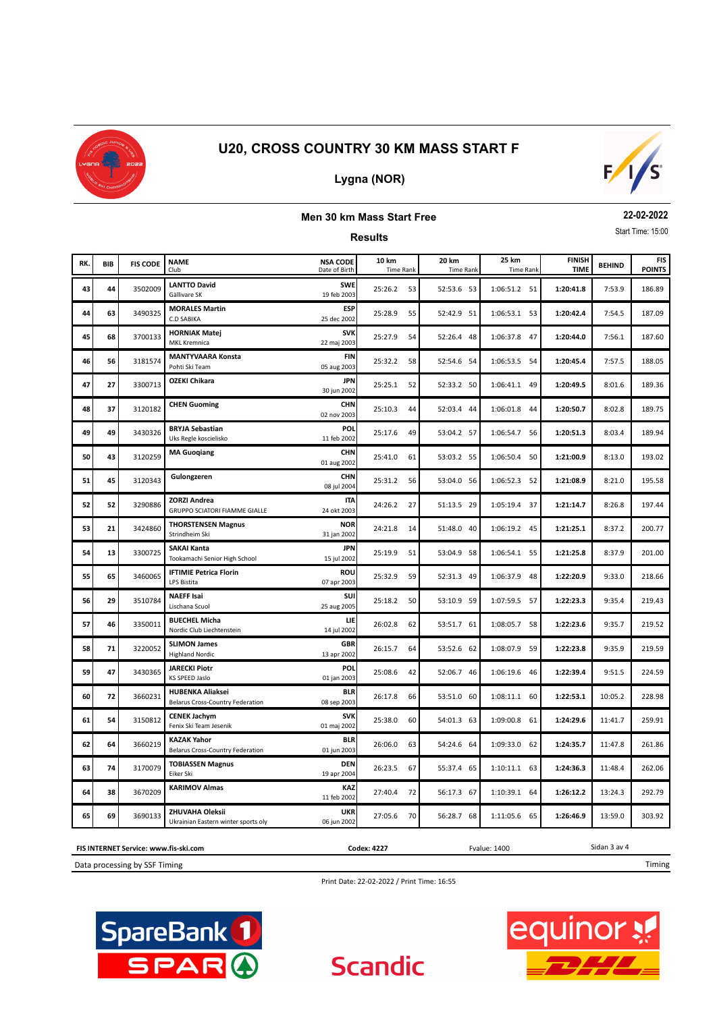

# **Lygna (NOR)**



#### **Men 30 km Mass Start Free**

**Results**

**22-02-2022** Start Time: 15:00

| RK. | <b>BIB</b> | <b>FIS CODE</b> | <b>NAME</b><br>Club                                                | <b>NSA CODE</b><br>Date of Birth | 10 km<br><b>Time Rank</b> | 20 km<br><b>Time Rank</b> | 25 km<br><b>Time Rank</b> | <b>FINISH</b><br><b>TIME</b> | <b>BEHIND</b> | <b>FIS</b><br><b>POINTS</b> |
|-----|------------|-----------------|--------------------------------------------------------------------|----------------------------------|---------------------------|---------------------------|---------------------------|------------------------------|---------------|-----------------------------|
| 43  | 44         | 3502009         | <b>LANTTO David</b><br>Gällivare SK                                | <b>SWE</b><br>19 feb 2003        | 25:26.2<br>53             | 52:53.6 53                | 1:06:51.2 51              | 1:20:41.8                    | 7:53.9        | 186.89                      |
| 44  | 63         | 3490325         | <b>MORALES Martin</b><br><b>C.D SABIKA</b>                         | <b>ESP</b><br>25 dec 2002        | 25:28.9<br>55             | 52:42.9 51                | 1:06:53.1 53              | 1:20:42.4                    | 7:54.5        | 187.09                      |
| 45  | 68         | 3700133         | <b>HORNIAK Matej</b><br><b>MKL Kremnica</b>                        | <b>SVK</b><br>22 maj 2003        | 25:27.9<br>54             | 52:26.4 48                | 1:06:37.8 47              | 1:20:44.0                    | 7:56.1        | 187.60                      |
| 46  | 56         | 3181574         | <b>MANTYVAARA Konsta</b><br>Pohti Ski Team                         | <b>FIN</b><br>05 aug 2003        | 25:32.2<br>58             | 52:54.6 54                | 1:06:53.5 54              | 1:20:45.4                    | 7:57.5        | 188.05                      |
| 47  | 27         | 3300713         | <b>OZEKI Chikara</b>                                               | <b>JPN</b><br>30 jun 2002        | 25:25.1<br>52             | 52:33.2 50                | 1:06:41.1 49              | 1:20:49.5                    | 8:01.6        | 189.36                      |
| 48  | 37         | 3120182         | <b>CHEN Guoming</b>                                                | <b>CHN</b><br>02 nov 2003        | 25:10.3<br>44             | 52:03.4 44                | 1:06:01.8<br>44           | 1:20:50.7                    | 8:02.8        | 189.75                      |
| 49  | 49         | 3430326         | <b>BRYJA Sebastian</b><br>Uks Regle koscielisko                    | <b>POL</b><br>11 feb 2002        | 25:17.6<br>49             | 53:04.2 57                | 1:06:54.7 56              | 1:20:51.3                    | 8:03.4        | 189.94                      |
| 50  | 43         | 3120259         | <b>MA Guogiang</b>                                                 | <b>CHN</b><br>01 aug 2002        | 25:41.0<br>61             | 53:03.2 55                | 1:06:50.4<br>50           | 1:21:00.9                    | 8:13.0        | 193.02                      |
| 51  | 45         | 3120343         | Gulongzeren                                                        | <b>CHN</b><br>08 jul 2004        | 25:31.2<br>56             | 53:04.0 56                | 1:06:52.3 52              | 1:21:08.9                    | 8:21.0        | 195.58                      |
| 52  | 52         | 3290886         | <b>ZORZI Andrea</b><br><b>GRUPPO SCIATORI FIAMME GIALLE</b>        | <b>ITA</b><br>24 okt 2003        | 24:26.2<br>27             | 51:13.5 29                | 1:05:19.4 37              | 1:21:14.7                    | 8:26.8        | 197.44                      |
| 53  | 21         | 3424860         | <b>THORSTENSEN Magnus</b><br>Strindheim Ski                        | <b>NOR</b><br>31 jan 2002        | 24:21.8<br>14             | 51:48.0 40                | 1:06:19.2 45              | 1:21:25.1                    | 8:37.2        | 200.77                      |
| 54  | 13         | 3300725         | <b>SAKAI Kanta</b><br>Tookamachi Senior High School                | <b>JPN</b><br>15 jul 2002        | 25:19.9<br>51             | 53:04.9 58                | 1:06:54.1 55              | 1:21:25.8                    | 8:37.9        | 201.00                      |
| 55  | 65         | 3460065         | <b>IFTIMIE Petrica Florin</b><br>LPS Bistita                       | ROU<br>07 apr 2003               | 25:32.9<br>59             | 52:31.3 49                | 1:06:37.9 48              | 1:22:20.9                    | 9:33.0        | 218.66                      |
| 56  | 29         | 3510784         | <b>NAEFF Isai</b><br>Lischana Scuol                                | <b>SUI</b><br>25 aug 2005        | 25:18.2<br>50             | 53:10.9 59                | 1:07:59.5 57              | 1:22:23.3                    | 9:35.4        | 219.43                      |
| 57  | 46         | 3350011         | <b>BUECHEL Micha</b><br>Nordic Club Liechtenstein                  | LIE<br>14 jul 2002               | 26:02.8<br>62             | 53:51.7 61                | 1:08:05.7<br>58           | 1:22:23.6                    | 9:35.7        | 219.52                      |
| 58  | 71         | 3220052         | <b>SLIMON James</b><br><b>Highland Nordic</b>                      | <b>GBR</b><br>13 apr 2002        | 26:15.7<br>64             | 53:52.6 62                | 1:08:07.9 59              | 1:22:23.8                    | 9:35.9        | 219.59                      |
| 59  | 47         | 3430365         | <b>JARECKI Piotr</b><br><b>KS SPEED Jaslo</b>                      | <b>POL</b><br>01 jan 2003        | 25:08.6<br>42             | 52:06.7 46                | 1:06:19.6 46              | 1:22:39.4                    | 9:51.5        | 224.59                      |
| 60  | 72         | 3660231         | <b>HUBENKA Aliaksei</b><br><b>Belarus Cross-Country Federation</b> | <b>BLR</b><br>08 sep 2003        | 26:17.8<br>66             | 53:51.0 60                | 1:08:11.1 60              | 1:22:53.1                    | 10:05.2       | 228.98                      |
| 61  | 54         | 3150812         | <b>CENEK Jachym</b><br>Fenix Ski Team Jesenik                      | <b>SVK</b><br>01 maj 2002        | 25:38.0<br>60             | 54:01.3 63                | 1:09:00.8 61              | 1:24:29.6                    | 11:41.7       | 259.91                      |
| 62  | 64         | 3660219         | <b>KAZAK Yahor</b><br><b>Belarus Cross-Country Federation</b>      | <b>BLR</b><br>01 jun 2003        | 26:06.0<br>63             | 54:24.6 64                | 1:09:33.0 62              | 1:24:35.7                    | 11:47.8       | 261.86                      |
| 63  | 74         | 3170079         | <b>TOBIASSEN Magnus</b><br>Eiker Ski                               | <b>DEN</b><br>19 apr 2004        | 26:23.5<br>67             | 55:37.4 65                | 1:10:11.1 63              | 1:24:36.3                    | 11:48.4       | 262.06                      |
| 64  | 38         | 3670209         | <b>KARIMOV Almas</b>                                               | KAZ<br>11 feb 2002               | 27:40.4<br>72             | 56:17.3 67                | 1:10:39.1 64              | 1:26:12.2                    | 13:24.3       | 292.79                      |
| 65  | 69         | 3690133         | ZHUVAHA Oleksii<br>Ukrainian Eastern winter sports oly             | <b>UKR</b><br>06 jun 2002        | 27:05.6<br>70             | 56:28.7 68                | 1:11:05.6 65              | 1:26:46.9                    | 13:59.0       | 303.92                      |

**FIS INTERNET Service: www.fis-ski.com**

Data processing by SSF Timing

Print Date: 22-02-2022 / Print Time: 16:55

**Scandic** 

**Codex: 4227** Fvalue: 1400





Sidan 3 av 4

Timing